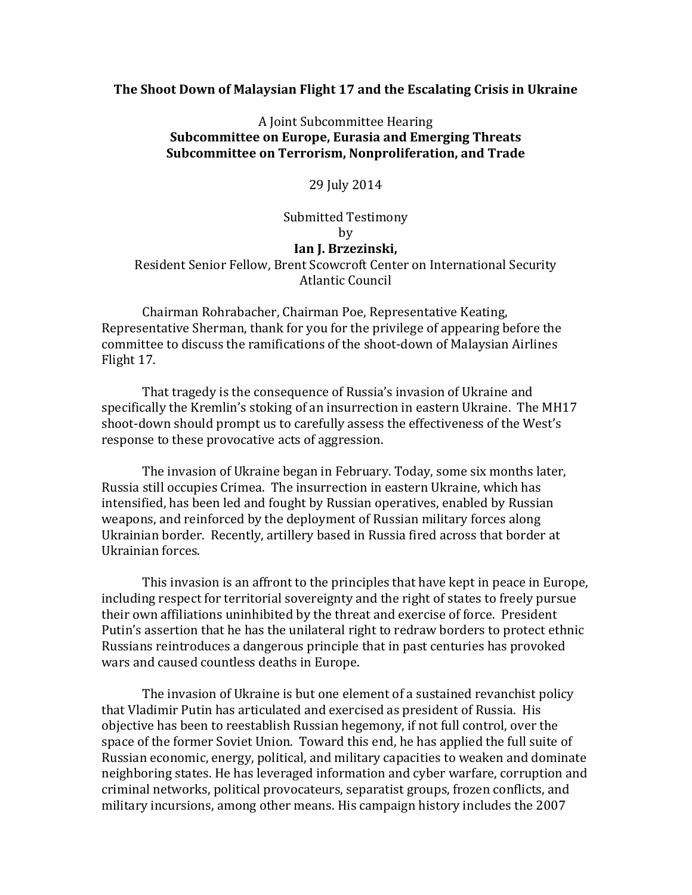## **The Shoot Down of Malaysian Flight 17 and the Escalating Crisis in Ukraine**

## A Joint Subcommittee Hearing **Subcommittee on Europe, Eurasia and Emerging Threats Subcommittee on Terrorism, Nonproliferation, and Trade**

29 July 2014

## Submitted Testimony by **Ian J. Brzezinski,**  Resident Senior Fellow, Brent Scowcroft Center on International Security Atlantic Council

Chairman Rohrabacher, Chairman Poe, Representative Keating, Representative Sherman, thank for you for the privilege of appearing before the committee to discuss the ramifications of the shoot-down of Malaysian Airlines Flight 17.

That tragedy is the consequence of Russia's invasion of Ukraine and specifically the Kremlin's stoking of an insurrection in eastern Ukraine. The MH17 shoot-down should prompt us to carefully assess the effectiveness of the West's response to these provocative acts of aggression.

The invasion of Ukraine began in February. Today, some six months later, Russia still occupies Crimea. The insurrection in eastern Ukraine, which has intensified, has been led and fought by Russian operatives, enabled by Russian weapons, and reinforced by the deployment of Russian military forces along Ukrainian border. Recently, artillery based in Russia fired across that border at Ukrainian forces.

This invasion is an affront to the principles that have kept in peace in Europe, including respect for territorial sovereignty and the right of states to freely pursue their own affiliations uninhibited by the threat and exercise of force. President Putin's assertion that he has the unilateral right to redraw borders to protect ethnic Russians reintroduces a dangerous principle that in past centuries has provoked wars and caused countless deaths in Europe.

The invasion of Ukraine is but one element of a sustained revanchist policy that Vladimir Putin has articulated and exercised as president of Russia. His objective has been to reestablish Russian hegemony, if not full control, over the space of the former Soviet Union. Toward this end, he has applied the full suite of Russian economic, energy, political, and military capacities to weaken and dominate neighboring states. He has leveraged information and cyber warfare, corruption and criminal networks, political provocateurs, separatist groups, frozen conflicts, and military incursions, among other means. His campaign history includes the 2007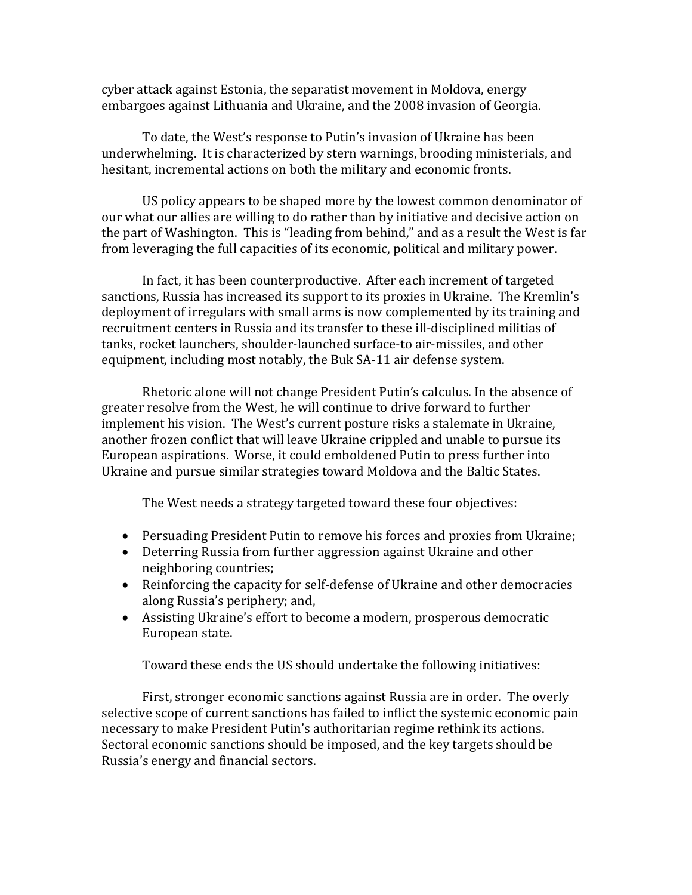cyber attack against Estonia, the separatist movement in Moldova, energy embargoes against Lithuania and Ukraine, and the 2008 invasion of Georgia.

To date, the West's response to Putin's invasion of Ukraine has been underwhelming. It is characterized by stern warnings, brooding ministerials, and hesitant, incremental actions on both the military and economic fronts.

US policy appears to be shaped more by the lowest common denominator of our what our allies are willing to do rather than by initiative and decisive action on the part of Washington. This is "leading from behind," and as a result the West is far from leveraging the full capacities of its economic, political and military power.

In fact, it has been counterproductive. After each increment of targeted sanctions, Russia has increased its support to its proxies in Ukraine. The Kremlin's deployment of irregulars with small arms is now complemented by its training and recruitment centers in Russia and its transfer to these ill-disciplined militias of tanks, rocket launchers, shoulder-launched surface-to air-missiles, and other equipment, including most notably, the Buk SA-11 air defense system.

Rhetoric alone will not change President Putin's calculus. In the absence of greater resolve from the West, he will continue to drive forward to further implement his vision. The West's current posture risks a stalemate in Ukraine, another frozen conflict that will leave Ukraine crippled and unable to pursue its European aspirations. Worse, it could emboldened Putin to press further into Ukraine and pursue similar strategies toward Moldova and the Baltic States.

The West needs a strategy targeted toward these four objectives:

- Persuading President Putin to remove his forces and proxies from Ukraine;
- Deterring Russia from further aggression against Ukraine and other neighboring countries;
- Reinforcing the capacity for self-defense of Ukraine and other democracies along Russia's periphery; and,
- Assisting Ukraine's effort to become a modern, prosperous democratic European state.

Toward these ends the US should undertake the following initiatives:

First, stronger economic sanctions against Russia are in order. The overly selective scope of current sanctions has failed to inflict the systemic economic pain necessary to make President Putin's authoritarian regime rethink its actions. Sectoral economic sanctions should be imposed, and the key targets should be Russia's energy and financial sectors.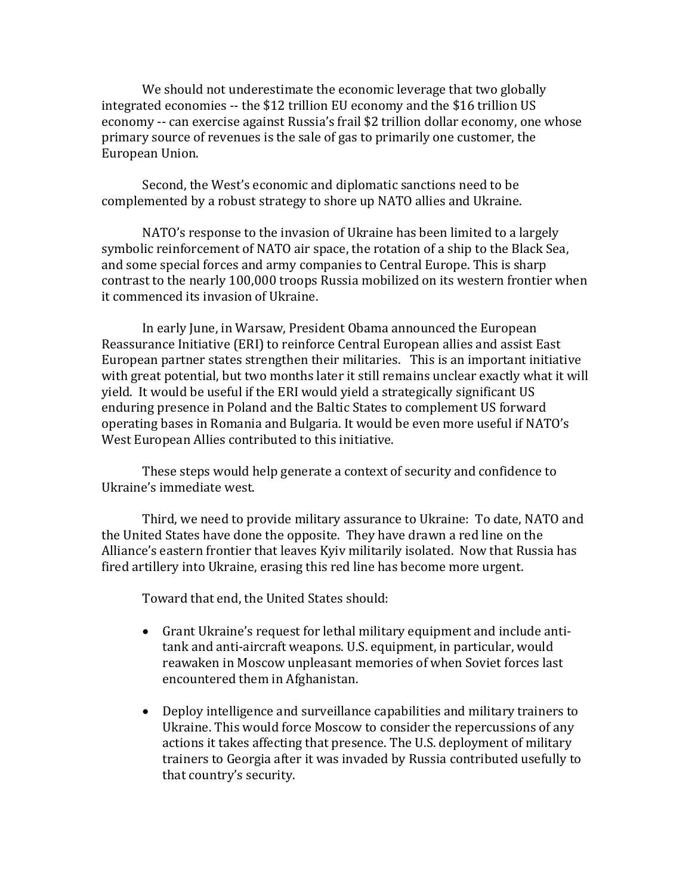We should not underestimate the economic leverage that two globally integrated economies -- the \$12 trillion EU economy and the \$16 trillion US economy -- can exercise against Russia's frail \$2 trillion dollar economy, one whose primary source of revenues is the sale of gas to primarily one customer, the European Union.

Second, the West's economic and diplomatic sanctions need to be complemented by a robust strategy to shore up NATO allies and Ukraine.

NATO's response to the invasion of Ukraine has been limited to a largely symbolic reinforcement of NATO air space, the rotation of a ship to the Black Sea, and some special forces and army companies to Central Europe. This is sharp contrast to the nearly 100,000 troops Russia mobilized on its western frontier when it commenced its invasion of Ukraine.

In early June, in Warsaw, President Obama announced the European Reassurance Initiative (ERI) to reinforce Central European allies and assist East European partner states strengthen their militaries. This is an important initiative with great potential, but two months later it still remains unclear exactly what it will yield. It would be useful if the ERI would yield a strategically significant US enduring presence in Poland and the Baltic States to complement US forward operating bases in Romania and Bulgaria. It would be even more useful if NATO's West European Allies contributed to this initiative.

These steps would help generate a context of security and confidence to Ukraine's immediate west.

Third, we need to provide military assurance to Ukraine: To date, NATO and the United States have done the opposite. They have drawn a red line on the Alliance's eastern frontier that leaves Kyiv militarily isolated. Now that Russia has fired artillery into Ukraine, erasing this red line has become more urgent.

Toward that end, the United States should:

- Grant Ukraine's request for lethal military equipment and include antitank and anti-aircraft weapons. U.S. equipment, in particular, would reawaken in Moscow unpleasant memories of when Soviet forces last encountered them in Afghanistan.
- Deploy intelligence and surveillance capabilities and military trainers to Ukraine. This would force Moscow to consider the repercussions of any actions it takes affecting that presence. The U.S. deployment of military trainers to Georgia after it was invaded by Russia contributed usefully to that country's security.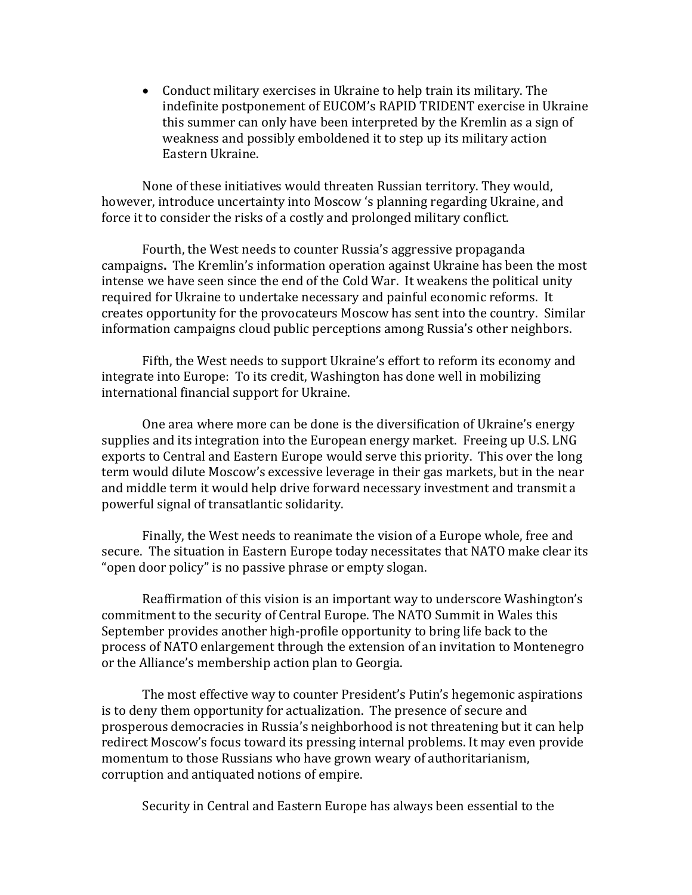• Conduct military exercises in Ukraine to help train its military. The indefinite postponement of EUCOM's RAPID TRIDENT exercise in Ukraine this summer can only have been interpreted by the Kremlin as a sign of weakness and possibly emboldened it to step up its military action Eastern Ukraine.

None of these initiatives would threaten Russian territory. They would, however, introduce uncertainty into Moscow 's planning regarding Ukraine, and force it to consider the risks of a costly and prolonged military conflict.

Fourth, the West needs to counter Russia's aggressive propaganda campaigns**.** The Kremlin's information operation against Ukraine has been the most intense we have seen since the end of the Cold War. It weakens the political unity required for Ukraine to undertake necessary and painful economic reforms. It creates opportunity for the provocateurs Moscow has sent into the country. Similar information campaigns cloud public perceptions among Russia's other neighbors.

Fifth, the West needs to support Ukraine's effort to reform its economy and integrate into Europe: To its credit, Washington has done well in mobilizing international financial support for Ukraine.

One area where more can be done is the diversification of Ukraine's energy supplies and its integration into the European energy market. Freeing up U.S. LNG exports to Central and Eastern Europe would serve this priority. This over the long term would dilute Moscow's excessive leverage in their gas markets, but in the near and middle term it would help drive forward necessary investment and transmit a powerful signal of transatlantic solidarity.

Finally, the West needs to reanimate the vision of a Europe whole, free and secure. The situation in Eastern Europe today necessitates that NATO make clear its "open door policy" is no passive phrase or empty slogan.

Reaffirmation of this vision is an important way to underscore Washington's commitment to the security of Central Europe. The NATO Summit in Wales this September provides another high-profile opportunity to bring life back to the process of NATO enlargement through the extension of an invitation to Montenegro or the Alliance's membership action plan to Georgia.

The most effective way to counter President's Putin's hegemonic aspirations is to deny them opportunity for actualization. The presence of secure and prosperous democracies in Russia's neighborhood is not threatening but it can help redirect Moscow's focus toward its pressing internal problems. It may even provide momentum to those Russians who have grown weary of authoritarianism, corruption and antiquated notions of empire.

Security in Central and Eastern Europe has always been essential to the